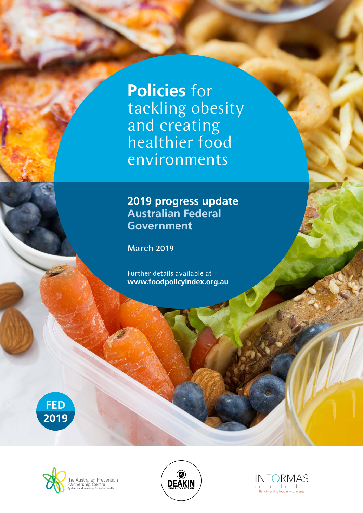**Policies** for tackling obesity and creating healthier food environments

## **2019 progress update Australian Federal Government**

March 2019

Further details available at **www.foodpolicyindex.org.au**







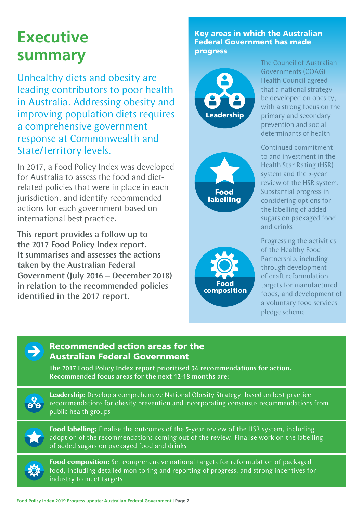# **Executive summary**

Unhealthy diets and obesity are leading contributors to poor health in Australia. Addressing obesity and improving population diets requires a comprehensive government response at Commonwealth and State/Territory levels.

In 2017, a Food Policy Index was developed for Australia to assess the food and dietrelated policies that were in place in each jurisdiction, and identify recommended actions for each government based on international best practice.

This report provides a follow up to the 2017 Food Policy Index report. It summarises and assesses the actions taken by the Australian Federal Government (July 2016 – December 2018) in relation to the recommended policies identified in the 2017 report.

Key areas in which the Australian Federal Government has made progress



**Food labelling** 



The Council of Australian Governments (COAG) Health Council agreed that a national strategy be developed on obesity, with a strong focus on the primary and secondary prevention and social determinants of health

Continued commitment to and investment in the Health Star Rating (HSR) system and the 5-year review of the HSR system. Substantial progress in considering options for the labelling of added sugars on packaged food and drinks

Progressing the activities of the Healthy Food Partnership, including through development of draft reformulation targets for manufactured foods, and development of a voluntary food services pledge scheme



### Recommended action areas for the Australian Federal Government

The 2017 Food Policy Index report prioritised 34 recommendations for action. Recommended focus areas for the next 12-18 months are:



**Leadership:** Develop a comprehensive National Obesity Strategy, based on best practice recommendations for obesity prevention and incorporating consensus recommendations from public health groups



**Food labelling:** Finalise the outcomes of the 5-year review of the HSR system, including adoption of the recommendations coming out of the review. Finalise work on the labelling of added sugars on packaged food and drinks



**Food composition:** Set comprehensive national targets for reformulation of packaged food, including detailed monitoring and reporting of progress, and strong incentives for industry to meet targets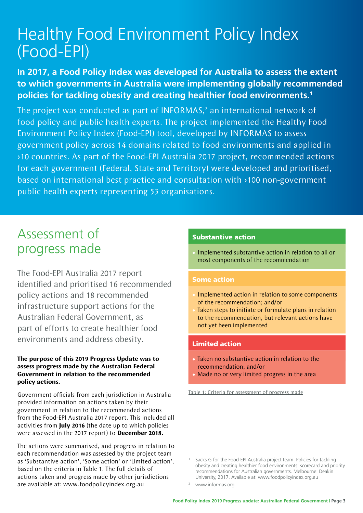# Healthy Food Environment Policy Index (Food-EPI)

### **In 2017, a Food Policy Index was developed for Australia to assess the extent to which governments in Australia were implementing globally recommended policies for tackling obesity and creating healthier food environments.1**

The project was conducted as part of INFORMAS, $<sup>2</sup>$  an international network of</sup> food policy and public health experts. The project implemented the Healthy Food Environment Policy Index (Food-EPI) tool, developed by INFORMAS to assess government policy across 14 domains related to food environments and applied in >10 countries. As part of the Food-EPI Australia 2017 project, recommended actions for each government (Federal, State and Territory) were developed and prioritised, based on international best practice and consultation with >100 non-government public health experts representing 53 organisations.

# Assessment of progress made

The Food-EPI Australia 2017 report identified and prioritised 16 recommended policy actions and 18 recommended infrastructure support actions for the Australian Federal Government, as part of efforts to create healthier food environments and address obesity.

#### **The purpose of this 2019 Progress Update was to assess progress made by the Australian Federal Government in relation to the recommended policy actions.**

Government officials from each jurisdiction in Australia provided information on actions taken by their government in relation to the recommended actions from the Food-EPI Australia 2017 report. This included all activities from **July 2016** (the date up to which policies were assessed in the 2017 report) to **December 2018.**

The actions were summarised, and progress in relation to each recommendation was assessed by the project team as 'Substantive action', 'Some action' or 'Limited action', based on the criteria in Table 1. The full details of actions taken and progress made by other jurisdictions are available at: www.foodpolicyindex.org.au

#### Substantive action

• Implemented substantive action in relation to all or most components of the recommendation

#### Some action

- Implemented action in relation to some components of the recommendation; and/or
- Taken steps to initiate or formulate plans in relation to the recommendation, but relevant actions have not yet been implemented

#### Limited action

- Taken no substantive action in relation to the recommendation; and/or
- Made no or very limited progress in the area

Table 1: Criteria for assessment of progress made

Sacks G for the Food-EPI Australia project team. Policies for tackling obesity and creating healthier food environments: scorecard and priority recommendations for Australian governments. Melbourne: Deakin University, 2017. Available at: www.foodpolicyindex.org.au

www.informas.org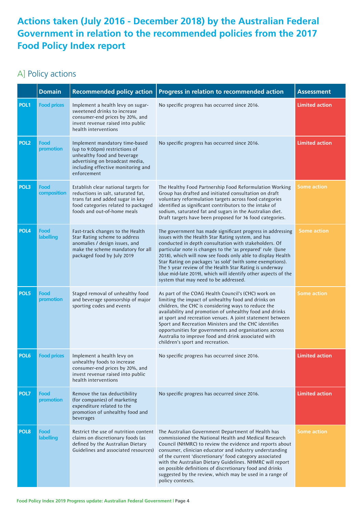## **Actions taken (July 2016 - December 2018) by the Australian Federal Government in relation to the recommended policies from the 2017 Food Policy Index report**

## A] Policy actions

|                  | <b>Domain</b>            | <b>Recommended policy action</b>                                                                                                                                                        | Progress in relation to recommended action                                                                                                                                                                                                                                                                                                                                                                                                                                                                                               | <b>Assessment</b>     |
|------------------|--------------------------|-----------------------------------------------------------------------------------------------------------------------------------------------------------------------------------------|------------------------------------------------------------------------------------------------------------------------------------------------------------------------------------------------------------------------------------------------------------------------------------------------------------------------------------------------------------------------------------------------------------------------------------------------------------------------------------------------------------------------------------------|-----------------------|
| POL <sub>1</sub> | <b>Food prices</b>       | Implement a health levy on sugar-<br>sweetened drinks to increase<br>consumer-end prices by 20%, and<br>invest revenue raised into public<br>health interventions                       | No specific progress has occurred since 2016.                                                                                                                                                                                                                                                                                                                                                                                                                                                                                            | <b>Limited action</b> |
| POL <sub>2</sub> | Food<br>promotion        | Implement mandatory time-based<br>(up to 9:00pm) restrictions of<br>unhealthy food and beverage<br>advertising on broadcast media,<br>including effective monitoring and<br>enforcement | No specific progress has occurred since 2016.                                                                                                                                                                                                                                                                                                                                                                                                                                                                                            | <b>Limited action</b> |
| POL3             | Food<br>composition      | Establish clear national targets for<br>reductions in salt, saturated fat,<br>trans fat and added sugar in key<br>food categories related to packaged<br>foods and out-of-home meals    | The Healthy Food Partnership Food Reformulation Working<br>Group has drafted and initiated consultation on draft<br>voluntary reformulation targets across food categories<br>identified as significant contributors to the intake of<br>sodium, saturated fat and sugars in the Australian diet.<br>Draft targets have been proposed for 36 food categories.                                                                                                                                                                            | <b>Some action</b>    |
| POL <sub>4</sub> | Food<br><b>labelling</b> | Fast-track changes to the Health<br>Star Rating scheme to address<br>anomalies / design issues, and<br>make the scheme mandatory for all<br>packaged food by July 2019                  | The government has made significant progress in addressing<br>issues with the Health Star Rating system, and has<br>conducted in depth consultation with stakeholders. Of<br>particular note is changes to the 'as prepared' rule (June<br>2018), which will now see foods only able to display Health<br>Star Rating on packages 'as sold' (with some exemptions).<br>The 5 year review of the Health Star Rating is underway<br>(due mid-late 2019), which will identify other aspects of the<br>system that may need to be addressed. | <b>Some action</b>    |
| POL5             | Food<br>promotion        | Staged removal of unhealthy food<br>and beverage sponsorship of major<br>sporting codes and events                                                                                      | As part of the COAG Health Council's (CHC) work on<br>limiting the impact of unhealthy food and drinks on<br>children, the CHC is considering ways to reduce the<br>availability and promotion of unhealthy food and drinks<br>at sport and recreation venues. A joint statement between<br>Sport and Recreation Ministers and the CHC identifies<br>opportunities for governments and organisations across<br>Australia to improve food and drink associated with<br>children's sport and recreation.                                   | <b>Some action</b>    |
| POL <sub>6</sub> | <b>Food prices</b>       | Implement a health levy on<br>unhealthy foods to increase<br>consumer-end prices by 20%, and<br>invest revenue raised into public<br>health interventions                               | No specific progress has occurred since 2016.                                                                                                                                                                                                                                                                                                                                                                                                                                                                                            | <b>Limited action</b> |
| POL7             | Food<br>promotion        | Remove the tax deductibility<br>(for companies) of marketing<br>expenditure related to the<br>promotion of unhealthy food and<br>beverages                                              | No specific progress has occurred since 2016.                                                                                                                                                                                                                                                                                                                                                                                                                                                                                            | <b>Limited action</b> |
| POL8             | Food<br>labelling        | Restrict the use of nutrition content<br>claims on discretionary foods (as<br>defined by the Australian Dietary<br>Guidelines and associated resources)                                 | The Australian Government Department of Health has<br>commissioned the National Health and Medical Research<br>Council (NHMRC) to review the evidence and reports about<br>consumer, clinician educator and industry understanding<br>of the current 'discretionary' food category associated<br>with the Australian Dietary Guidelines. NHMRC will report<br>on possible definitions of discretionary food and drinks<br>suggested by the review, which may be used in a range of<br>policy contexts.                                   | <b>Some action</b>    |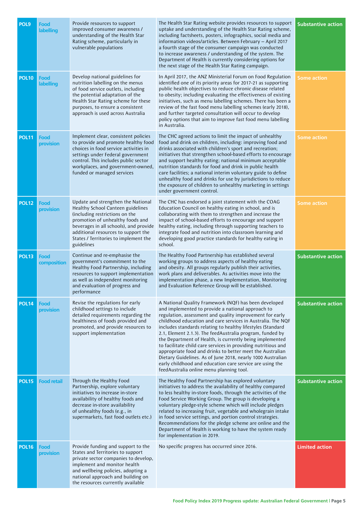| POL9         | Food<br>labelling        | Provide resources to support<br>improved consumer awareness /<br>understanding of the Health Star<br>Rating scheme, particularly in<br>vulnerable populations                                                                                                                         | The Health Star Rating website provides resources to support<br>uptake and understanding of the Health Star Rating scheme,<br>including factsheets, posters, infographics, social media and<br>information videos/articles. Between February - April 2017<br>a fourth stage of the consumer campaign was conducted<br>to increase awareness / understanding of the system. The<br>Department of Health is currently considering options for<br>the next stage of the Health Star Rating campaign.                                                                                                                                                                                                                                  | <b>Substantive action</b> |
|--------------|--------------------------|---------------------------------------------------------------------------------------------------------------------------------------------------------------------------------------------------------------------------------------------------------------------------------------|------------------------------------------------------------------------------------------------------------------------------------------------------------------------------------------------------------------------------------------------------------------------------------------------------------------------------------------------------------------------------------------------------------------------------------------------------------------------------------------------------------------------------------------------------------------------------------------------------------------------------------------------------------------------------------------------------------------------------------|---------------------------|
| <b>POL10</b> | Food<br><b>labelling</b> | Develop national guidelines for<br>nutrition labelling on the menus<br>of food service outlets, including<br>the potential adaptation of the<br>Health Star Rating scheme for these<br>purposes, to ensure a consistent<br>approach is used across Australia                          | In April 2017, the ANZ Ministerial Forum on Food Regulation<br>identified one of its priority areas for 2017-21 as supporting<br>public health objectives to reduce chronic disease related<br>to obesity; including evaluating the effectiveness of existing<br>initiatives, such as menu labelling schemes. There has been a<br>review of the fast food menu labelling schemes (early 2018),<br>and further targeted consultation will occur to develop<br>policy options that aim to improve fast food menu labelling<br>in Australia.                                                                                                                                                                                          | Some action               |
| <b>POL11</b> | Food<br>provision        | Implement clear, consistent policies<br>to provide and promote healthy food<br>choices in food service activities in<br>settings under Federal government<br>control. This includes public sector<br>workplaces, and government-owned,<br>funded or managed services                  | The CHC agreed actions to limit the impact of unhealthy<br>food and drink on children, including: improving food and<br>drinks associated with children's sport and recreation;<br>initiatives that strengthen school-based efforts to encourage<br>and support healthy eating; national minimum acceptable<br>nutrition standards for food and drink in public health<br>care facilities; a national interim voluntary guide to define<br>unhealthy food and drinks for use by jurisdictions to reduce<br>the exposure of children to unhealthy marketing in settings<br>under government control.                                                                                                                                | <b>Some action</b>        |
| <b>POL12</b> | Food<br>provision        | Update and strengthen the National<br>Healthy School Canteen guidelines<br>(including restrictions on the<br>promotion of unhealthy foods and<br>beverages in all schools), and provide<br>additional resources to support the<br>States / Territories to implement the<br>guidelines | The CHC has endorsed a joint statement with the COAG<br>Education Council on healthy eating in school, and is<br>collaborating with them to strengthen and increase the<br>impact of school-based efforts to encourage and support<br>healthy eating, including through supporting teachers to<br>integrate food and nutrition into classroom learning and<br>developing good practice standards for healthy eating in<br>school.                                                                                                                                                                                                                                                                                                  | <b>Some action</b>        |
| <b>POL13</b> | Food<br>composition      | Continue and re-emphasise the<br>government's commitment to the<br>Healthy Food Partnership, including<br>resources to support implementation<br>as well as independent monitoring<br>and evaluation of progress and<br>performance                                                   | The Healthy Food Partnership has established several<br>working groups to address aspects of healthy eating<br>and obesity. All groups regularly publish their activities,<br>work plans and deliverables. As activities move into the<br>implementation phase, a new Implementation, Monitoring<br>and Evaluation Reference Group will be established.                                                                                                                                                                                                                                                                                                                                                                            | <b>Substantive action</b> |
| <b>POL14</b> | Food<br>provision        | Revise the regulations for early<br>childhood settings to include<br>detailed requirements regarding the<br>healthiness of foods provided and<br>promoted, and provide resources to<br>support implementation                                                                         | A National Quality Framework (NQF) has been developed<br>and implemented to provide a national approach to<br>regulation, assessment and quality improvement for early<br>childhood education and care services in Australia. The NQF<br>includes standards relating to healthy lifestyles (Standard<br>2.1, Element 2.1.3). The feedAustralia program, funded by<br>the Department of Health, is currently being implemented<br>to facilitate child care services in providing nutritious and<br>appropriate food and drinks to better meet the Australian<br>Dietary Guidelines. As of June 2018, nearly 1000 Australian<br>early childhood and education care service are using the<br>feedAustralia online menu planning tool. | <b>Substantive action</b> |
| <b>POL15</b> | <b>Food retail</b>       | Through the Healthy Food<br>Partnership, explore voluntary<br>initiatives to increase in-store<br>availability of healthy foods and<br>decrease in-store availability<br>of unhealthy foods (e.g., in<br>supermarkets, fast food outlets etc.)                                        | The Healthy Food Partnership has explored voluntary<br>initiatives to address the availability of healthy compared<br>to less healthy in-store foods, through the activities of the<br>Food Service Working Group. The group is developing a<br>voluntary pledge-style scheme which will include pledges<br>related to increasing fruit, vegetable and wholegrain intake<br>in food service settings, and portion control strategies.<br>Recommendations for the pledge scheme are online and the<br>Department of Health is working to have the system ready<br>for implementation in 2019.                                                                                                                                       | <b>Substantive action</b> |
| <b>POL16</b> | Food<br>provision        | Provide funding and support to the<br>States and Territories to support<br>private sector companies to develop,<br>implement and monitor health<br>and wellbeing policies, adopting a<br>national approach and building on<br>the resources currently available                       | No specific progress has occurred since 2016.                                                                                                                                                                                                                                                                                                                                                                                                                                                                                                                                                                                                                                                                                      | <b>Limited action</b>     |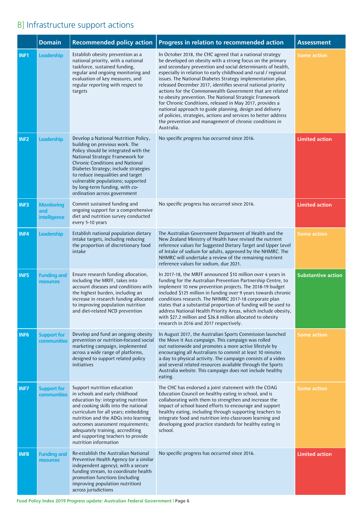# B] Infrastructure support actions

|                  | <b>Domain</b>                            | <b>Recommended policy action</b>                                                                                                                                                                                                                                                                                                                                                  | Progress in relation to recommended action                                                                                                                                                                                                                                                                                                                                                                                                                                                                                                                                                                                                                                                                                                                                       | <b>Assessment</b>         |
|------------------|------------------------------------------|-----------------------------------------------------------------------------------------------------------------------------------------------------------------------------------------------------------------------------------------------------------------------------------------------------------------------------------------------------------------------------------|----------------------------------------------------------------------------------------------------------------------------------------------------------------------------------------------------------------------------------------------------------------------------------------------------------------------------------------------------------------------------------------------------------------------------------------------------------------------------------------------------------------------------------------------------------------------------------------------------------------------------------------------------------------------------------------------------------------------------------------------------------------------------------|---------------------------|
| INF1             | Leadership                               | Establish obesity prevention as a<br>national priority, with a national<br>taskforce, sustained funding,<br>regular and ongoing monitoring and<br>evaluation of key measures, and<br>regular reporting with respect to<br>targets                                                                                                                                                 | In October 2018, the CHC agreed that a national strategy<br>be developed on obesity with a strong focus on the primary<br>and secondary prevention and social determinants of health,<br>especially in relation to early childhood and rural / regional<br>issues. The National Diabetes Strategy implementation plan,<br>released December 2017, identifies several national priority<br>actions for the Commonwealth Government that are related<br>to obesity prevention. The National Strategic Framework<br>for Chronic Conditions, released in May 2017, provides a<br>national approach to guide planning, design and delivery<br>of policies, strategies, actions and services to better address<br>the prevention and management of chronic conditions in<br>Australia. | <b>Some action</b>        |
| INF <sub>2</sub> | Leadership                               | Develop a National Nutrition Policy,<br>building on previous work. The<br>Policy should be integrated with the<br>National Strategic Framework for<br><b>Chronic Conditions and National</b><br>Diabetes Strategy; include strategies<br>to reduce inequalities and target<br>vulnerable populations; supported<br>by long-term funding, with co-<br>ordination across government | No specific progress has occurred since 2016.                                                                                                                                                                                                                                                                                                                                                                                                                                                                                                                                                                                                                                                                                                                                    | <b>Limited action</b>     |
| INF3             | <b>Monitoring</b><br>and<br>intelligence | Commit sustained funding and<br>ongoing support for a comprehensive<br>diet and nutrition survey conducted<br>every 5-10 years                                                                                                                                                                                                                                                    | No specific progress has occurred since 2016.                                                                                                                                                                                                                                                                                                                                                                                                                                                                                                                                                                                                                                                                                                                                    | <b>Limited action</b>     |
| INF4             | Leadership                               | Establish national population dietary<br>intake targets, including reducing<br>the proportion of discretionary food<br>intake                                                                                                                                                                                                                                                     | The Australian Government Department of Health and the<br>New Zealand Ministry of Health have revised the nutrient<br>reference values for Suggested Dietary Target and Upper Level<br>of Intake of sodium for adults, approved by the NHMRC. The<br>NHMRC will undertake a review of the remaining nutrient<br>reference values for sodium, due 2021.                                                                                                                                                                                                                                                                                                                                                                                                                           | <b>Some action</b>        |
| INF5             | <b>Funding and</b><br><b>resources</b>   | Ensure research funding allocation,<br>including the MRFF, takes into<br>account diseases and conditions with<br>the highest burden, including an<br>increase in research funding allocated<br>to improving population nutrition<br>and diet-related NCD prevention                                                                                                               | In 2017-18, the MRFF announced \$10 million over 4 years in<br>funding for the Australian Prevention Partnership Centre, to<br>implement 10 new prevention projects. The 2018-19 budget<br>included \$125 million in funding over 9 years towards chronic<br>conditions research. The NHMRC 2017-18 corporate plan<br>states that a substantial proportion of funding will be used to<br>address National Health Priority Areas, which include obesity,<br>with \$27.2 million and \$26.8 million allocated to obesity<br>research in 2016 and 2017 respectively.                                                                                                                                                                                                                | <b>Substantive action</b> |
| <b>INF6</b>      | <b>Support for</b><br>communities        | Develop and fund an ongoing obesity<br>prevention or nutrition-focused social<br>marketing campaign, implemented<br>across a wide range of platforms,<br>designed to support related policy<br>initiatives                                                                                                                                                                        | In August 2017, the Australian Sports Commission launched<br>the Move it Aus campaign. This campaign was rolled<br>out nationwide and promotes a more active lifestyle by<br>encouraging all Australians to commit at least 30 minutes<br>a day to physical activity. The campaign consists of a video<br>and several related resources available through the Sports<br>Australia website. This campaign does not include healthy<br>eating.                                                                                                                                                                                                                                                                                                                                     | <b>Some action</b>        |
| INF7             | <b>Support for</b><br><b>communities</b> | Support nutrition education<br>in schools and early childhood<br>education by: integrating nutrition<br>and cooking skills into the national<br>curriculum for all years; embedding<br>nutrition and the ADGs into learning<br>outcomes assessment requirements;<br>adequately training, accrediting<br>and supporting teachers to provide<br>nutrition information               | The CHC has endorsed a joint statement with the COAG<br>Education Council on healthy eating in school, and is<br>collaborating with them to strengthen and increase the<br>impact of school based efforts to encourage and support<br>healthy eating, including through supporting teachers to<br>integrate food and nutrition into classroom learning and<br>developing good practice standards for healthy eating in<br>school.                                                                                                                                                                                                                                                                                                                                                | <b>Some action</b>        |
| <b>INF8</b>      | <b>Funding and</b><br>resources          | Re-establish the Australian National<br>Preventive Health Agency (or a similar<br>independent agency), with a secure<br>funding stream, to coordinate health<br>promotion functions (including<br>improving population nutrition)<br>across jurisdictions                                                                                                                         | No specific progress has occurred since 2016.                                                                                                                                                                                                                                                                                                                                                                                                                                                                                                                                                                                                                                                                                                                                    | <b>Limited action</b>     |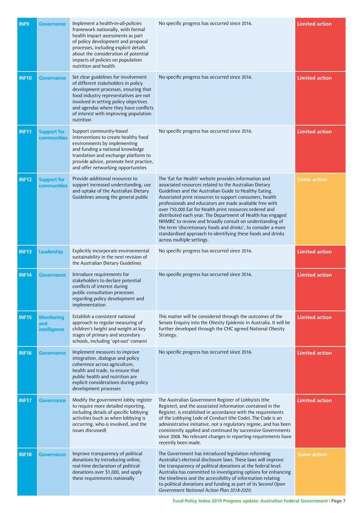| <b>INF9</b>  | <b>Governance</b>                        | Implement a health-in-all-policies<br>framework nationally, with formal<br>health impact assessments as part<br>of policy development and proposal<br>processes, including explicit details<br>about the consideration of potential<br>impacts of policies on population<br>nutrition and health     | No specific progress has occurred since 2016.                                                                                                                                                                                                                                                                                                                                                                                                                                                                                                                                                                                                      | <b>Limited action</b> |
|--------------|------------------------------------------|------------------------------------------------------------------------------------------------------------------------------------------------------------------------------------------------------------------------------------------------------------------------------------------------------|----------------------------------------------------------------------------------------------------------------------------------------------------------------------------------------------------------------------------------------------------------------------------------------------------------------------------------------------------------------------------------------------------------------------------------------------------------------------------------------------------------------------------------------------------------------------------------------------------------------------------------------------------|-----------------------|
| <b>INF10</b> | Governance                               | Set clear guidelines for involvement<br>of different stakeholders in policy<br>development processes, ensuring that<br>food industry representatives are not<br>involved in setting policy objectives<br>and agendas where they have conflicts<br>of interest with improving population<br>nutrition | No specific progress has occurred since 2016.                                                                                                                                                                                                                                                                                                                                                                                                                                                                                                                                                                                                      | <b>Limited action</b> |
| <b>INF11</b> | <b>Support for</b><br>communities        | Support community-based<br>interventions to create healthy food<br>environments by implementing<br>and funding a national knowledge<br>translation and exchange platform to<br>provide advice, promote best practice,<br>and offer networking opportunities                                          | No specific progress has occurred since 2016.                                                                                                                                                                                                                                                                                                                                                                                                                                                                                                                                                                                                      | <b>Limited action</b> |
| <b>INF12</b> | <b>Support for</b><br>communities        | Provide additional resources to<br>support increased understanding, use<br>and uptake of the Australian Dietary<br>Guidelines among the general public                                                                                                                                               | The 'Eat for Health' website provides information and<br>associated resources related to the Australian Dietary<br>Guidelines and the Australian Guide to Healthy Eating.<br>Associated print resources to support consumers, health<br>professionals and educators are made available free with<br>over 750,000 Eat for Health print resources ordered and<br>distributed each year. The Department of Health has engaged<br>NHMRC to review and broadly consult on understanding of<br>the term 'discretionary foods and drinks', to consider a more<br>standardised approach to identifying these foods and drinks<br>across multiple settings. | Some action           |
| <b>INF13</b> | <b>Leadership</b>                        | Explicitly incorporate environmental<br>sustainability in the next revision of<br>the Australian Dietary Guidelines                                                                                                                                                                                  | No specific progress has occurred since 2016.                                                                                                                                                                                                                                                                                                                                                                                                                                                                                                                                                                                                      | <b>Limited action</b> |
| <b>INF14</b> | <b>Governance</b>                        | Introduce requirements for<br>stakeholders to declare potential<br>conflicts of interest during<br>public consultation processes<br>regarding policy development and<br>implementation                                                                                                               | No specific progress has occurred since 2016.                                                                                                                                                                                                                                                                                                                                                                                                                                                                                                                                                                                                      | <b>Limited action</b> |
| <b>INF15</b> | <b>Monitoring</b><br>and<br>intelligence | Establish a consistent national<br>approach to regular measuring of<br>children's height and weight at key<br>stages of primary and secondary<br>schools, including 'opt-out' consent                                                                                                                | This matter will be considered through the outcomes of the<br>Senate Enquiry into the Obesity Epidemic in Australia. It will be<br>further developed through the CHC agreed National Obesity<br>Strategy.                                                                                                                                                                                                                                                                                                                                                                                                                                          | <b>Limited action</b> |
| <b>INF16</b> | Governance                               | Implement measures to improve<br>integration, dialogue and policy<br>coherence across agriculture,<br>health and trade, to ensure that<br>public health and nutrition are<br>explicit considerations during policy<br>development processes                                                          | No specific progress has occurred since 2016.                                                                                                                                                                                                                                                                                                                                                                                                                                                                                                                                                                                                      | <b>Limited action</b> |
| <b>INF17</b> | <b>Governance</b>                        | Modify the government lobby register<br>to require more detailed reporting,<br>including details of specific lobbying<br>activities (such as when lobbying is<br>occurring, who is involved, and the<br>issues discussed)                                                                            | The Australian Government Register of Lobbyists (the<br>Register), and the associated information contained in the<br>Register, is established in accordance with the requirements<br>of the Lobbying Lode of Conduct (the Code). The Code is an<br>administrative initiative, not a regulatory regime, and has been<br>consistently applied and continued by successive Governments<br>since 2008. No relevant changes in reporting requirements have<br>recently been made.                                                                                                                                                                      | <b>Limited action</b> |
| <b>INF18</b> | Governance                               | Improve transparency of political<br>donations by introducing online,<br>real-time declaration of political<br>donations over \$1,000, and apply<br>these requirements nationally                                                                                                                    | The Government has introduced legislation reforming<br>Australia's electoral disclosure laws. These laws will improve<br>the transparency of political donations at the federal level.<br>Australia has committed to investigating options for enhancing<br>the timeliness and the accessibility of information relating<br>to political donations and funding as part of its Second Open<br>Government National Action Plan 2018-2020.                                                                                                                                                                                                            | Some action           |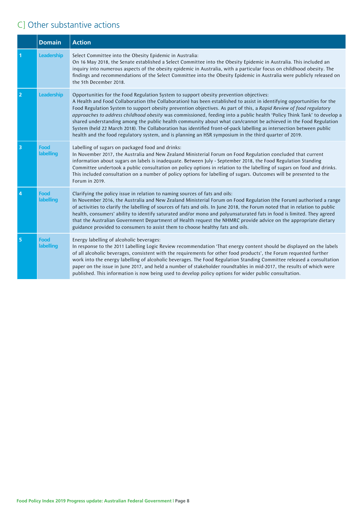# C] Other substantive actions

|                         | <b>Domain</b>            | <b>Action</b>                                                                                                                                                                                                                                                                                                                                                                                                                                                                                                                                                                                                                                                                                                                                                                                                           |
|-------------------------|--------------------------|-------------------------------------------------------------------------------------------------------------------------------------------------------------------------------------------------------------------------------------------------------------------------------------------------------------------------------------------------------------------------------------------------------------------------------------------------------------------------------------------------------------------------------------------------------------------------------------------------------------------------------------------------------------------------------------------------------------------------------------------------------------------------------------------------------------------------|
|                         | <b>Leadership</b>        | Select Committee into the Obesity Epidemic in Australia:<br>On 16 May 2018, the Senate established a Select Committee into the Obesity Epidemic in Australia. This included an<br>inquiry into numerous aspects of the obesity epidemic in Australia, with a particular focus on childhood obesity. The<br>findings and recommendations of the Select Committee into the Obesity Epidemic in Australia were publicly released on<br>the 5th December 2018.                                                                                                                                                                                                                                                                                                                                                              |
| 2                       | <b>Leadership</b>        | Opportunities for the Food Regulation System to support obesity prevention objectives:<br>A Health and Food Collaboration (the Collaboration) has been established to assist in identifying opportunities for the<br>Food Regulation System to support obesity prevention objectives. As part of this, a Rapid Review of food regulatory<br>approaches to address childhood obesity was commissioned, feeding into a public health 'Policy Think Tank' to develop a<br>shared understanding among the public health community about what can/cannot be achieved in the Food Regulation<br>System (held 22 March 2018). The Collaboration has identified front-of-pack labelling as intersection between public<br>health and the food regulatory system, and is planning an HSR symposium in the third quarter of 2019. |
| $\overline{\mathbf{3}}$ | <b>Food</b><br>labelling | Labelling of sugars on packaged food and drinks:<br>In November 2017, the Australia and New Zealand Ministerial Forum on Food Regulation concluded that current<br>information about sugars on labels is inadequate. Between July - September 2018, the Food Regulation Standing<br>Committee undertook a public consultation on policy options in relation to the labelling of sugars on food and drinks.<br>This included consultation on a number of policy options for labelling of sugars. Outcomes will be presented to the<br>Forum in 2019.                                                                                                                                                                                                                                                                     |
| $\overline{4}$          | <b>Food</b><br>labelling | Clarifying the policy issue in relation to naming sources of fats and oils:<br>In November 2016, the Australia and New Zealand Ministerial Forum on Food Regulation (the Forum) authorised a range<br>of activities to clarify the labelling of sources of fats and oils. In June 2018, the Forum noted that in relation to public<br>health, consumers' ability to identify saturated and/or mono and polyunsaturated fats in food is limited. They agreed<br>that the Australian Government Department of Health request the NHMRC provide advice on the appropriate dietary<br>guidance provided to consumers to assist them to choose healthy fats and oils.                                                                                                                                                        |
| 5                       | Food<br>labelling        | Energy labelling of alcoholic beverages:<br>In response to the 2011 Labelling Logic Review recommendation 'That energy content should be displayed on the labels<br>of all alcoholic beverages, consistent with the requirements for other food products', the Forum requested further<br>work into the energy labelling of alcoholic beverages. The Food Regulation Standing Committee released a consultation<br>paper on the issue in June 2017, and held a number of stakeholder roundtables in mid-2017, the results of which were<br>published. This information is now being used to develop policy options for wider public consultation.                                                                                                                                                                       |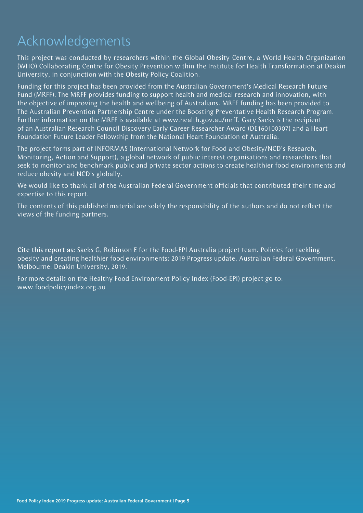# Acknowledgements

This project was conducted by researchers within the Global Obesity Centre, a World Health Organization (WHO) Collaborating Centre for Obesity Prevention within the Institute for Health Transformation at Deakin University, in conjunction with the Obesity Policy Coalition.

Funding for this project has been provided from the Australian Government's Medical Research Future Fund (MRFF). The MRFF provides funding to support health and medical research and innovation, with the objective of improving the health and wellbeing of Australians. MRFF funding has been provided to The Australian Prevention Partnership Centre under the Boosting Preventative Health Research Program. Further information on the MRFF is available at www.health.gov.au/mrff. Gary Sacks is the recipient of an Australian Research Council Discovery Early Career Researcher Award (DE160100307) and a Heart Foundation Future Leader Fellowship from the National Heart Foundation of Australia.

The project forms part of INFORMAS (International Network for Food and Obesity/NCD's Research, Monitoring, Action and Support), a global network of public interest organisations and researchers that seek to monitor and benchmark public and private sector actions to create healthier food environments and reduce obesity and NCD's globally.

We would like to thank all of the Australian Federal Government officials that contributed their time and expertise to this report.

The contents of this published material are solely the responsibility of the authors and do not reflect the views of the funding partners.

Cite this report as: Sacks G, Robinson E for the Food-EPI Australia project team. Policies for tackling obesity and creating healthier food environments: 2019 Progress update, Australian Federal Government. Melbourne: Deakin University, 2019.

For more details on the Healthy Food Environment Policy Index (Food-EPI) project go to: www.foodpolicyindex.org.au